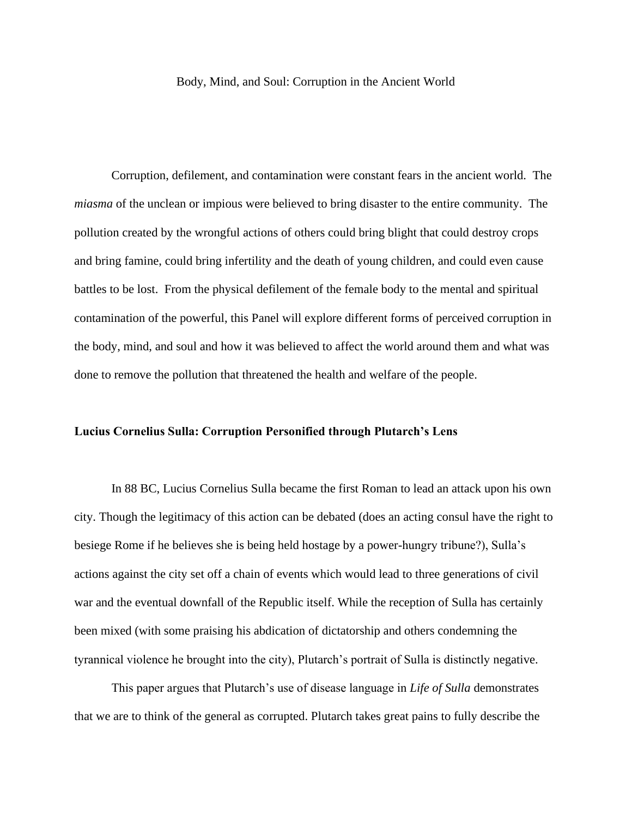## Body, Mind, and Soul: Corruption in the Ancient World

Corruption, defilement, and contamination were constant fears in the ancient world. The *miasma* of the unclean or impious were believed to bring disaster to the entire community. The pollution created by the wrongful actions of others could bring blight that could destroy crops and bring famine, could bring infertility and the death of young children, and could even cause battles to be lost. From the physical defilement of the female body to the mental and spiritual contamination of the powerful, this Panel will explore different forms of perceived corruption in the body, mind, and soul and how it was believed to affect the world around them and what was done to remove the pollution that threatened the health and welfare of the people.

## **Lucius Cornelius Sulla: Corruption Personified through Plutarch's Lens**

In 88 BC, Lucius Cornelius Sulla became the first Roman to lead an attack upon his own city. Though the legitimacy of this action can be debated (does an acting consul have the right to besiege Rome if he believes she is being held hostage by a power-hungry tribune?), Sulla's actions against the city set off a chain of events which would lead to three generations of civil war and the eventual downfall of the Republic itself. While the reception of Sulla has certainly been mixed (with some praising his abdication of dictatorship and others condemning the tyrannical violence he brought into the city), Plutarch's portrait of Sulla is distinctly negative.

This paper argues that Plutarch's use of disease language in *Life of Sulla* demonstrates that we are to think of the general as corrupted. Plutarch takes great pains to fully describe the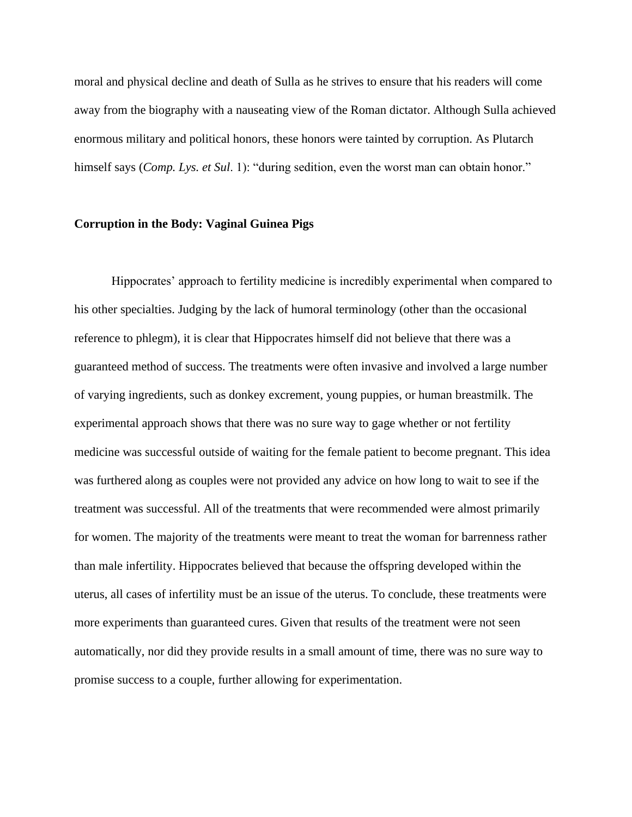moral and physical decline and death of Sulla as he strives to ensure that his readers will come away from the biography with a nauseating view of the Roman dictator. Although Sulla achieved enormous military and political honors, these honors were tainted by corruption. As Plutarch himself says (*Comp. Lys. et Sul*. 1): "during sedition, even the worst man can obtain honor."

## **Corruption in the Body: Vaginal Guinea Pigs**

Hippocrates' approach to fertility medicine is incredibly experimental when compared to his other specialties. Judging by the lack of humoral terminology (other than the occasional reference to phlegm), it is clear that Hippocrates himself did not believe that there was a guaranteed method of success. The treatments were often invasive and involved a large number of varying ingredients, such as donkey excrement, young puppies, or human breastmilk. The experimental approach shows that there was no sure way to gage whether or not fertility medicine was successful outside of waiting for the female patient to become pregnant. This idea was furthered along as couples were not provided any advice on how long to wait to see if the treatment was successful. All of the treatments that were recommended were almost primarily for women. The majority of the treatments were meant to treat the woman for barrenness rather than male infertility. Hippocrates believed that because the offspring developed within the uterus, all cases of infertility must be an issue of the uterus. To conclude, these treatments were more experiments than guaranteed cures. Given that results of the treatment were not seen automatically, nor did they provide results in a small amount of time, there was no sure way to promise success to a couple, further allowing for experimentation.